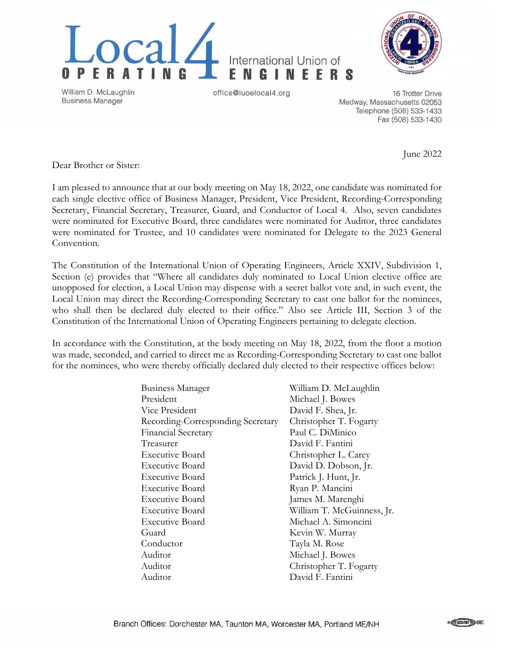



William D. McLaughlin **Business Manager** 

office@iuoelocal4.org

16 Trotter Drive Medway, Massachusetts 02053 Telephone (508) 533-1433 Fax (508) 533-1430

June 2022

Dear Brother or Sister:

I am pleased to announce that at our body meeting on May 18, 2022, one candidate was nominated for each single elective office of Business Manager, President, Vice President, Recording-Corresponding Secretary, Financial Secretary, Treasurer, Guard, and Conductor of Local 4. Also, seven candidates were nominated for Executive Board, three candidates were nominated for Auditor, three candidates were nominated for Trustee, and 10 candidates were nominated for Delegate to the 2023 General Convention.

The Constitution of the International Union of Operating Engineers, Article XXIV, Subdivision 1, Section (e) provides that "Where all candidates duly nominated to Local Union elective office are unopposed for election, a Local Union may dispense with a secret ballot vote and, in such event, the Local Union may direct the Recording-Corresponding Secretary to cast one ballot for the nominees, who shall then be declared duly elected to their office." Also see Article III, Section 3 of the Constitution of the International Union of Operating Engineers pertaining to delegate election.

In accordance with the Constitution, at the body meeting on May 18, 2022, from the floor a motion was made, seconded, and carried to direct me as Recording-Corresponding Secretary to cast one ballot for the nominees, who were thereby officially declared duly elected to their respective offices below:

| <b>Business Manager</b>           | William D. McLaughlin      |
|-----------------------------------|----------------------------|
| President                         | Michael J. Bowes           |
| Vice President                    | David F. Shea, Jr.         |
| Recording-Corresponding Secretary | Christopher T. Fogarty     |
| <b>Financial Secretary</b>        | Paul C. DiMinico           |
| Treasurer                         | David F. Fantini           |
| <b>Executive Board</b>            | Christopher L. Carey       |
| <b>Executive Board</b>            | David D. Dobson, Jr.       |
| <b>Executive Board</b>            | Patrick J. Hunt, Jr.       |
| Executive Board                   | Ryan P. Mancini            |
| <b>Executive Board</b>            | James M. Marenghi          |
| <b>Executive Board</b>            | William T. McGuinness, Jr. |
| <b>Executive Board</b>            | Michael A. Simoncini       |
| Guard                             | Kevin W. Murray            |
| Conductor                         | Tayla M. Rose              |
| Auditor                           | Michael J. Bowes           |
| Auditor                           | Christopher T. Fogarty     |
| Auditor                           | David F. Fantini           |
|                                   |                            |